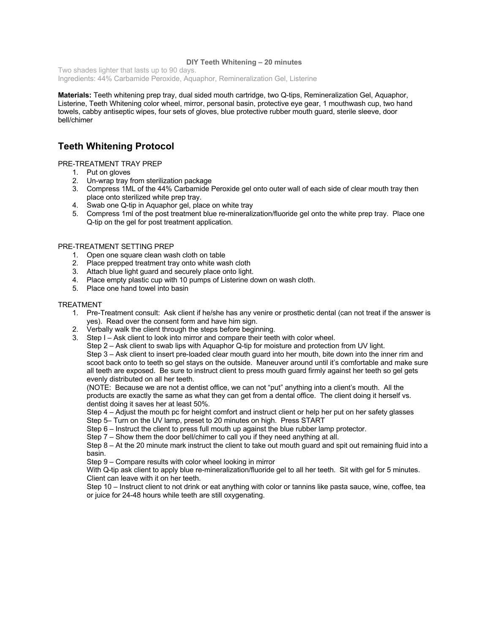#### **DIY Teeth Whitening – 20 minutes**

Two shades lighter that lasts up to 90 days. Ingredients: 44% Carbamide Peroxide, Aquaphor, Remineralization Gel, Listerine

**Materials:** Teeth whitening prep tray, dual sided mouth cartridge, two Q-tips, Remineralization Gel, Aquaphor, Listerine, Teeth Whitening color wheel, mirror, personal basin, protective eye gear, 1 mouthwash cup, two hand towels, cabby antiseptic wipes, four sets of gloves, blue protective rubber mouth guard, sterile sleeve, door bell/chimer

# **Teeth Whitening Protocol**

### PRE-TREATMENT TRAY PREP

- 1. Put on gloves
- 2. Un-wrap tray from sterilization package
- 3. Compress 1ML of the 44% Carbamide Peroxide gel onto outer wall of each side of clear mouth tray then place onto sterilized white prep tray.
- 4. Swab one Q-tip in Aquaphor gel, place on white tray
- 5. Compress 1ml of the post treatment blue re-mineralization/fluoride gel onto the white prep tray. Place one Q-tip on the gel for post treatment application.

## PRE-TREATMENT SETTING PREP

- 1. Open one square clean wash cloth on table
- 2. Place prepped treatment tray onto white wash cloth
- 3. Attach blue light guard and securely place onto light.
- 4. Place empty plastic cup with 10 pumps of Listerine down on wash cloth.
- 5. Place one hand towel into basin

### TREATMENT

- 1. Pre-Treatment consult: Ask client if he/she has any venire or prosthetic dental (can not treat if the answer is yes). Read over the consent form and have him sign.
- 2. Verbally walk the client through the steps before beginning.
- 3. Step I Ask client to look into mirror and compare their teeth with color wheel.

Step 2 – Ask client to swab lips with Aquaphor Q-tip for moisture and protection from UV light. Step 3 – Ask client to insert pre-loaded clear mouth guard into her mouth, bite down into the inner rim and scoot back onto to teeth so gel stays on the outside. Maneuver around until it's comfortable and make sure all teeth are exposed. Be sure to instruct client to press mouth guard firmly against her teeth so gel gets

evenly distributed on all her teeth. (NOTE: Because we are not a dentist office, we can not "put" anything into a client's mouth. All the products are exactly the same as what they can get from a dental office. The client doing it herself vs. dentist doing it saves her at least 50%.

Step 4 – Adjust the mouth pc for height comfort and instruct client or help her put on her safety glasses

Step 5– Turn on the UV lamp, preset to 20 minutes on high. Press START

Step 6 – Instruct the client to press full mouth up against the blue rubber lamp protector.

Step 7 – Show them the door bell/chimer to call you if they need anything at all.

Step 8 – At the 20 minute mark instruct the client to take out mouth guard and spit out remaining fluid into a basin.

Step 9 – Compare results with color wheel looking in mirror

With Q-tip ask client to apply blue re-mineralization/fluoride gel to all her teeth. Sit with gel for 5 minutes. Client can leave with it on her teeth.

Step 10 – Instruct client to not drink or eat anything with color or tannins like pasta sauce, wine, coffee, tea or juice for 24-48 hours while teeth are still oxygenating.